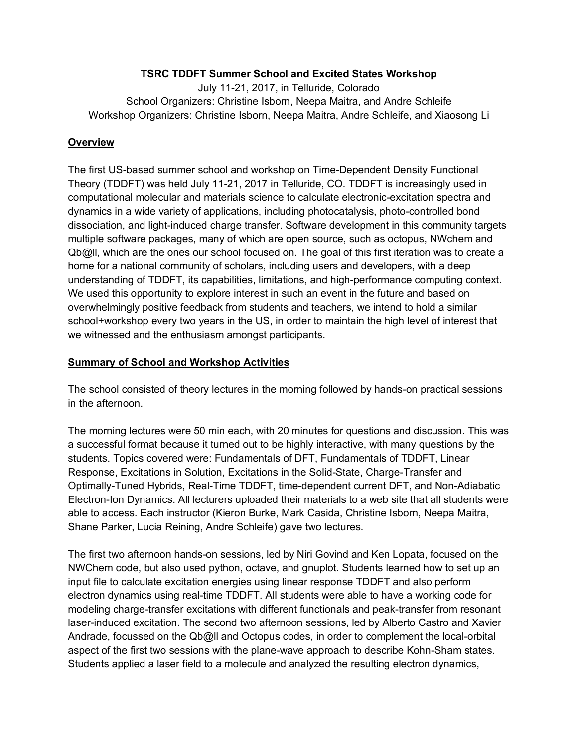#### **TSRC TDDFT Summer School and Excited States Workshop**

July 11-21, 2017, in Telluride, Colorado School Organizers: Christine Isborn, Neepa Maitra, and Andre Schleife Workshop Organizers: Christine Isborn, Neepa Maitra, Andre Schleife, and Xiaosong Li

#### **Overview**

The first US-based summer school and workshop on Time-Dependent Density Functional Theory (TDDFT) was held July 11-21, 2017 in Telluride, CO. TDDFT is increasingly used in computational molecular and materials science to calculate electronic-excitation spectra and dynamics in a wide variety of applications, including photocatalysis, photo-controlled bond dissociation, and light-induced charge transfer. Software development in this community targets multiple software packages, many of which are open source, such as octopus, NWchem and Qb@ll, which are the ones our school focused on. The goal of this first iteration was to create a home for a national community of scholars, including users and developers, with a deep understanding of TDDFT, its capabilities, limitations, and high-performance computing context. We used this opportunity to explore interest in such an event in the future and based on overwhelmingly positive feedback from students and teachers, we intend to hold a similar school+workshop every two years in the US, in order to maintain the high level of interest that we witnessed and the enthusiasm amongst participants.

#### **Summary of School and Workshop Activities**

The school consisted of theory lectures in the morning followed by hands-on practical sessions in the afternoon.

The morning lectures were 50 min each, with 20 minutes for questions and discussion. This was a successful format because it turned out to be highly interactive, with many questions by the students. Topics covered were: Fundamentals of DFT, Fundamentals of TDDFT, Linear Response, Excitations in Solution, Excitations in the Solid-State, Charge-Transfer and Optimally-Tuned Hybrids, Real-Time TDDFT, time-dependent current DFT, and Non-Adiabatic Electron-Ion Dynamics. All lecturers uploaded their materials to a web site that all students were able to access. Each instructor (Kieron Burke, Mark Casida, Christine Isborn, Neepa Maitra, Shane Parker, Lucia Reining, Andre Schleife) gave two lectures.

The first two afternoon hands-on sessions, led by Niri Govind and Ken Lopata, focused on the NWChem code, but also used python, octave, and gnuplot. Students learned how to set up an input file to calculate excitation energies using linear response TDDFT and also perform electron dynamics using real-time TDDFT. All students were able to have a working code for modeling charge-transfer excitations with different functionals and peak-transfer from resonant laser-induced excitation. The second two afternoon sessions, led by Alberto Castro and Xavier Andrade, focussed on the Qb@ll and Octopus codes, in order to complement the local-orbital aspect of the first two sessions with the plane-wave approach to describe Kohn-Sham states. Students applied a laser field to a molecule and analyzed the resulting electron dynamics,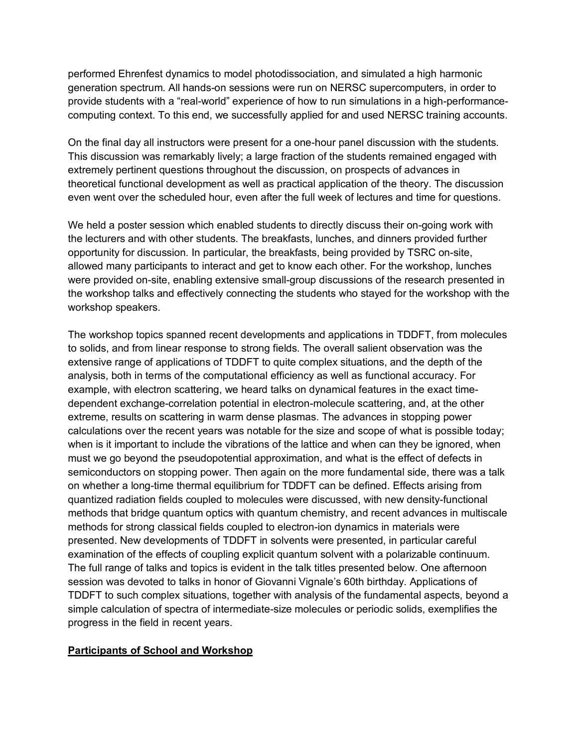performed Ehrenfest dynamics to model photodissociation, and simulated a high harmonic generation spectrum. All hands-on sessions were run on NERSC supercomputers, in order to provide students with a "real-world" experience of how to run simulations in a high-performancecomputing context. To this end, we successfully applied for and used NERSC training accounts.

On the final day all instructors were present for a one-hour panel discussion with the students. This discussion was remarkably lively; a large fraction of the students remained engaged with extremely pertinent questions throughout the discussion, on prospects of advances in theoretical functional development as well as practical application of the theory. The discussion even went over the scheduled hour, even after the full week of lectures and time for questions.

We held a poster session which enabled students to directly discuss their on-going work with the lecturers and with other students. The breakfasts, lunches, and dinners provided further opportunity for discussion. In particular, the breakfasts, being provided by TSRC on-site, allowed many participants to interact and get to know each other. For the workshop, lunches were provided on-site, enabling extensive small-group discussions of the research presented in the workshop talks and effectively connecting the students who stayed for the workshop with the workshop speakers.

The workshop topics spanned recent developments and applications in TDDFT, from molecules to solids, and from linear response to strong fields. The overall salient observation was the extensive range of applications of TDDFT to quite complex situations, and the depth of the analysis, both in terms of the computational efficiency as well as functional accuracy. For example, with electron scattering, we heard talks on dynamical features in the exact timedependent exchange-correlation potential in electron-molecule scattering, and, at the other extreme, results on scattering in warm dense plasmas. The advances in stopping power calculations over the recent years was notable for the size and scope of what is possible today; when is it important to include the vibrations of the lattice and when can they be ignored, when must we go beyond the pseudopotential approximation, and what is the effect of defects in semiconductors on stopping power. Then again on the more fundamental side, there was a talk on whether a long-time thermal equilibrium for TDDFT can be defined. Effects arising from quantized radiation fields coupled to molecules were discussed, with new density-functional methods that bridge quantum optics with quantum chemistry, and recent advances in multiscale methods for strong classical fields coupled to electron-ion dynamics in materials were presented. New developments of TDDFT in solvents were presented, in particular careful examination of the effects of coupling explicit quantum solvent with a polarizable continuum. The full range of talks and topics is evident in the talk titles presented below. One afternoon session was devoted to talks in honor of Giovanni Vignale's 60th birthday. Applications of TDDFT to such complex situations, together with analysis of the fundamental aspects, beyond a simple calculation of spectra of intermediate-size molecules or periodic solids, exemplifies the progress in the field in recent years.

#### **Participants of School and Workshop**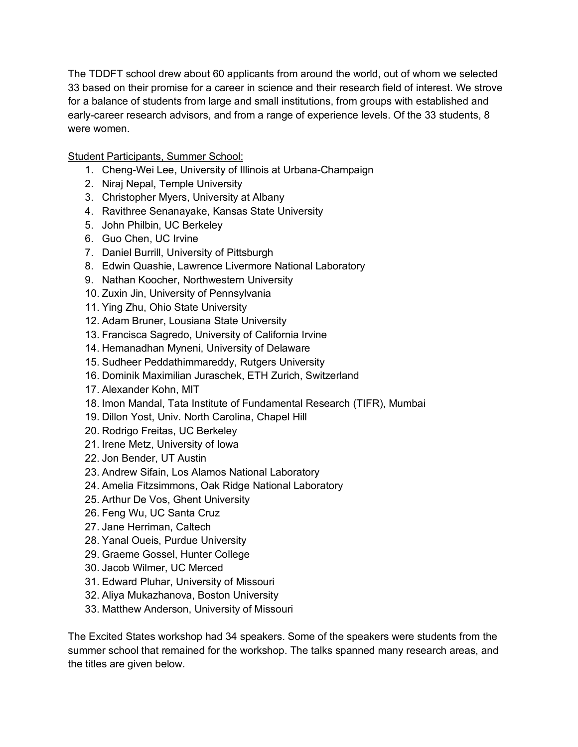The TDDFT school drew about 60 applicants from around the world, out of whom we selected 33 based on their promise for a career in science and their research field of interest. We strove for a balance of students from large and small institutions, from groups with established and early-career research advisors, and from a range of experience levels. Of the 33 students, 8 were women.

Student Participants, Summer School:

- 1. Cheng-Wei Lee, University of Illinois at Urbana-Champaign
- 2. Niraj Nepal, Temple University
- 3. Christopher Myers, University at Albany
- 4. Ravithree Senanayake, Kansas State University
- 5. John Philbin, UC Berkeley
- 6. Guo Chen, UC Irvine
- 7. Daniel Burrill, University of Pittsburgh
- 8. Edwin Quashie, Lawrence Livermore National Laboratory
- 9. Nathan Koocher, Northwestern University
- 10. Zuxin Jin, University of Pennsylvania
- 11. Ying Zhu, Ohio State University
- 12. Adam Bruner, Lousiana State University
- 13. Francisca Sagredo, University of California Irvine
- 14. Hemanadhan Myneni, University of Delaware
- 15. Sudheer Peddathimmareddy, Rutgers University
- 16. Dominik Maximilian Juraschek, ETH Zurich, Switzerland
- 17. Alexander Kohn, MIT
- 18. Imon Mandal, Tata Institute of Fundamental Research (TIFR), Mumbai
- 19. Dillon Yost, Univ. North Carolina, Chapel Hill
- 20. Rodrigo Freitas, UC Berkeley
- 21. Irene Metz, University of Iowa
- 22. Jon Bender, UT Austin
- 23. Andrew Sifain, Los Alamos National Laboratory
- 24. Amelia Fitzsimmons, Oak Ridge National Laboratory
- 25. Arthur De Vos, Ghent University
- 26. Feng Wu, UC Santa Cruz
- 27. Jane Herriman, Caltech
- 28. Yanal Oueis, Purdue University
- 29. Graeme Gossel, Hunter College
- 30. Jacob Wilmer, UC Merced
- 31. Edward Pluhar, University of Missouri
- 32. Aliya Mukazhanova, Boston University
- 33. Matthew Anderson, University of Missouri

The Excited States workshop had 34 speakers. Some of the speakers were students from the summer school that remained for the workshop. The talks spanned many research areas, and the titles are given below.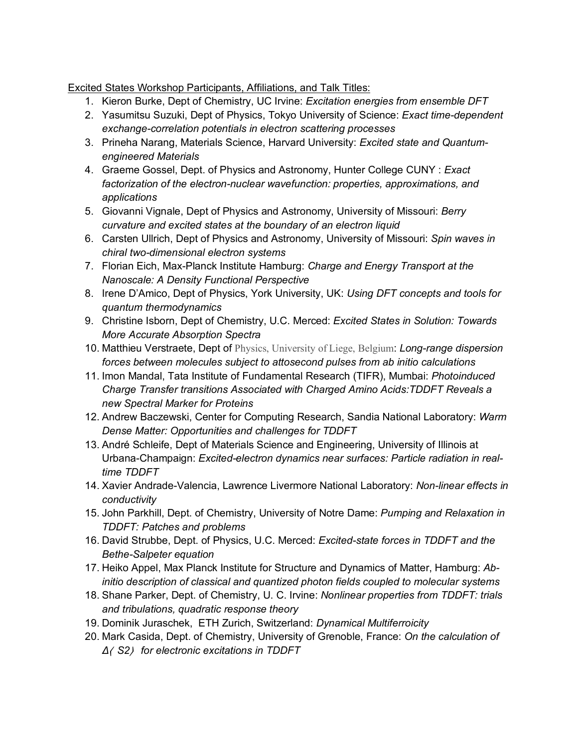Excited States Workshop Participants, Affiliations, and Talk Titles:

- 1. Kieron Burke, Dept of Chemistry, UC Irvine: *Excitation energies from ensemble DFT*
- 2. Yasumitsu Suzuki, Dept of Physics, Tokyo University of Science: *Exact time-dependent exchange-correlation potentials in electron scattering processes*
- 3. Prineha Narang, Materials Science, Harvard University: *Excited state and Quantumengineered Materials*
- 4. Graeme Gossel, Dept. of Physics and Astronomy, Hunter College CUNY : *Exact factorization of the electron-nuclear wavefunction: properties, approximations, and applications*
- 5. Giovanni Vignale, Dept of Physics and Astronomy, University of Missouri: *Berry curvature and excited states at the boundary of an electron liquid*
- 6. Carsten Ullrich, Dept of Physics and Astronomy, University of Missouri: *Spin waves in chiral two-dimensional electron systems*
- 7. Florian Eich, Max-Planck Institute Hamburg: *Charge and Energy Transport at the Nanoscale: A Density Functional Perspective*
- 8. Irene D'Amico, Dept of Physics, York University, UK: *Using DFT concepts and tools for quantum thermodynamics*
- 9. Christine Isborn, Dept of Chemistry, U.C. Merced: *Excited States in Solution: Towards More Accurate Absorption Spectra*
- 10. Matthieu Verstraete, Dept of Physics, University of Liege, Belgium: *Long-range dispersion forces between molecules subject to attosecond pulses from ab initio calculations*
- 11. Imon Mandal, Tata Institute of Fundamental Research (TIFR), Mumbai: *Photoinduced Charge Transfer transitions Associated with Charged Amino Acids:TDDFT Reveals a new Spectral Marker for Proteins*
- 12. Andrew Baczewski, Center for Computing Research, Sandia National Laboratory: *Warm Dense Matter: Opportunities and challenges for TDDFT*
- 13. André Schleife, Dept of Materials Science and Engineering, University of Illinois at Urbana-Champaign: *Excited-electron dynamics near surfaces: Particle radiation in realtime TDDFT*
- 14. Xavier Andrade-Valencia, Lawrence Livermore National Laboratory: *Non-linear effects in conductivity*
- 15. John Parkhill, Dept. of Chemistry, University of Notre Dame: *Pumping and Relaxation in TDDFT: Patches and problems*
- 16. David Strubbe, Dept. of Physics, U.C. Merced: *Excited-state forces in TDDFT and the Bethe-Salpeter equation*
- 17. Heiko Appel, Max Planck Institute for Structure and Dynamics of Matter, Hamburg: *Abinitio description of classical and quantized photon fields coupled to molecular systems*
- 18. Shane Parker, Dept. of Chemistry, U. C. Irvine: *Nonlinear properties from TDDFT: trials and tribulations, quadratic response theory*
- 19. Dominik Juraschek, ETH Zurich, Switzerland: *Dynamical Multiferroicity*
- 20. Mark Casida, Dept. of Chemistry, University of Grenoble, France: *On the calculation of Δ*⟨ *S2*⟩ *for electronic excitations in TDDFT*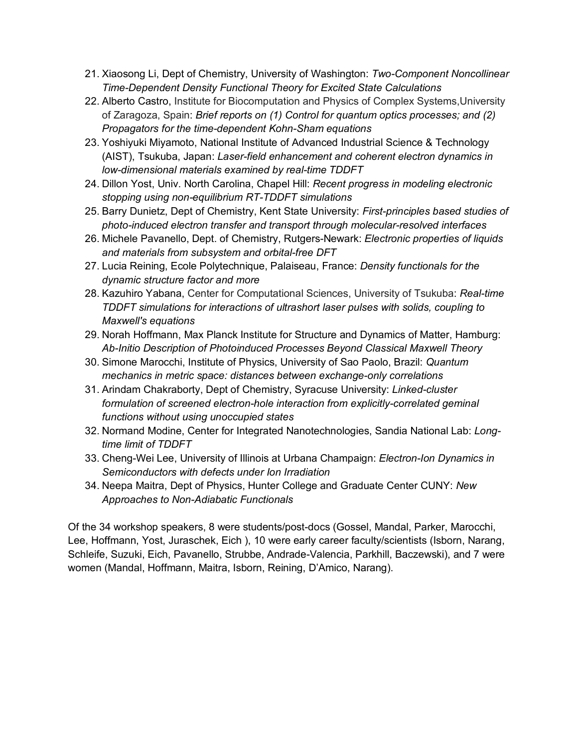- 21. Xiaosong Li, Dept of Chemistry, University of Washington: *Two-Component Noncollinear Time-Dependent Density Functional Theory for Excited State Calculations*
- 22. Alberto Castro, Institute for Biocomputation and Physics of Complex Systems,University of Zaragoza, Spain: *Brief reports on (1) Control for quantum optics processes; and (2) Propagators for the time-dependent Kohn-Sham equations*
- 23. Yoshiyuki Miyamoto, National Institute of Advanced Industrial Science & Technology (AIST), Tsukuba, Japan: *Laser-field enhancement and coherent electron dynamics in low-dimensional materials examined by real-time TDDFT*
- 24. Dillon Yost, Univ. North Carolina, Chapel Hill: *Recent progress in modeling electronic stopping using non-equilibrium RT-TDDFT simulations*
- 25. Barry Dunietz, Dept of Chemistry, Kent State University: *First-principles based studies of photo-induced electron transfer and transport through molecular-resolved interfaces*
- 26. Michele Pavanello, Dept. of Chemistry, Rutgers-Newark: *Electronic properties of liquids and materials from subsystem and orbital-free DFT*
- 27. Lucia Reining, Ecole Polytechnique, Palaiseau, France: *Density functionals for the dynamic structure factor and more*
- 28. Kazuhiro Yabana, Center for Computational Sciences, University of Tsukuba: *Real-time TDDFT simulations for interactions of ultrashort laser pulses with solids, coupling to Maxwell's equations*
- 29. Norah Hoffmann, Max Planck Institute for Structure and Dynamics of Matter, Hamburg: *Ab-Initio Description of Photoinduced Processes Beyond Classical Maxwell Theory*
- 30. Simone Marocchi, Institute of Physics, University of Sao Paolo, Brazil: *Quantum mechanics in metric space: distances between exchange-only correlations*
- 31. Arindam Chakraborty, Dept of Chemistry, Syracuse University: *Linked-cluster*  formulation of screened electron-hole interaction from explicitly-correlated geminal *functions without using unoccupied states*
- 32. Normand Modine, Center for Integrated Nanotechnologies, Sandia National Lab: *Longtime limit of TDDFT*
- 33. Cheng-Wei Lee, University of Illinois at Urbana Champaign: *Electron-Ion Dynamics in Semiconductors with defects under Ion Irradiation*
- 34. Neepa Maitra, Dept of Physics, Hunter College and Graduate Center CUNY: *New Approaches to Non-Adiabatic Functionals*

Of the 34 workshop speakers, 8 were students/post-docs (Gossel, Mandal, Parker, Marocchi, Lee, Hoffmann, Yost, Juraschek, Eich ), 10 were early career faculty/scientists (Isborn, Narang, Schleife, Suzuki, Eich, Pavanello, Strubbe, Andrade-Valencia, Parkhill, Baczewski), and 7 were women (Mandal, Hoffmann, Maitra, Isborn, Reining, D'Amico, Narang).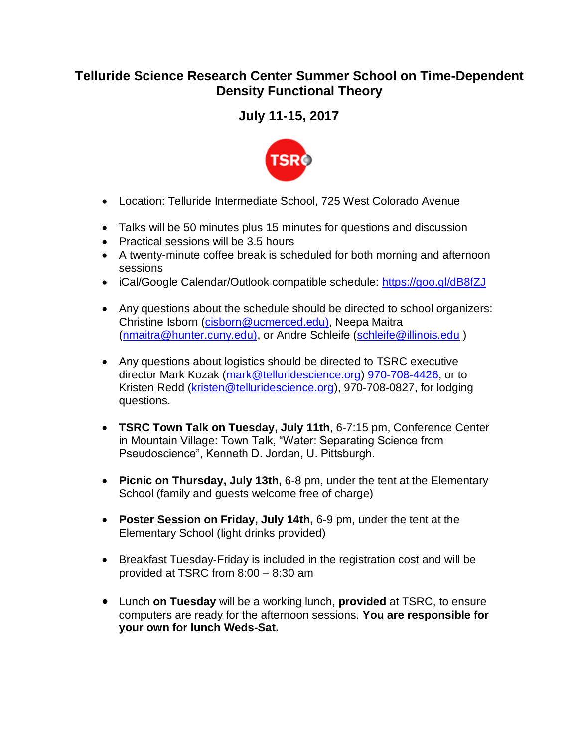# **Telluride Science Research Center Summer School on Time-Dependent Density Functional Theory**

# **July 11-15, 2017**



- Location: Telluride Intermediate School, 725 West Colorado Avenue
- Talks will be 50 minutes plus 15 minutes for questions and discussion
- Practical sessions will be 3.5 hours
- A twenty-minute coffee break is scheduled for both morning and afternoon sessions
- iCal/Google Calendar/Outlook compatible schedule:<https://goo.gl/dB8fZJ>
- Any questions about the schedule should be directed to school organizers: Christine Isborn [\(cisborn@ucmerced.edu\),](mailto:cisborn@ucmerced.edu)) Neepa Maitra [\(nmaitra@hunter.cuny.edu\),](mailto:nmaitra@hunter.cuny.edu)) or Andre Schleife [\(schleife@illinois.edu](mailto:schleife@illinois.edu) )
- Any questions about logistics should be directed to TSRC executive director Mark Kozak [\(mark@telluridescience.org\)](mailto:mark@telluridescience.org) [970-708-4426,](tel:970-708-4426) or to Kristen Redd [\(kristen@telluridescience.org\)](mailto:kristen@telluridescience.org), 970-708-0827, for lodging questions.
- **TSRC Town Talk on Tuesday, July 11th**, 6-7:15 pm, Conference Center in Mountain Village: Town Talk, "Water: Separating Science from Pseudoscience", Kenneth D. Jordan, U. Pittsburgh.
- **Picnic on Thursday, July 13th,** 6-8 pm, under the tent at the Elementary School (family and guests welcome free of charge)
- **Poster Session on Friday, July 14th,** 6-9 pm, under the tent at the Elementary School (light drinks provided)
- Breakfast Tuesday-Friday is included in the registration cost and will be provided at TSRC from 8:00 – 8:30 am
- Lunch **on Tuesday** will be a working lunch, **provided** at TSRC, to ensure computers are ready for the afternoon sessions. **You are responsible for your own for lunch Weds-Sat.**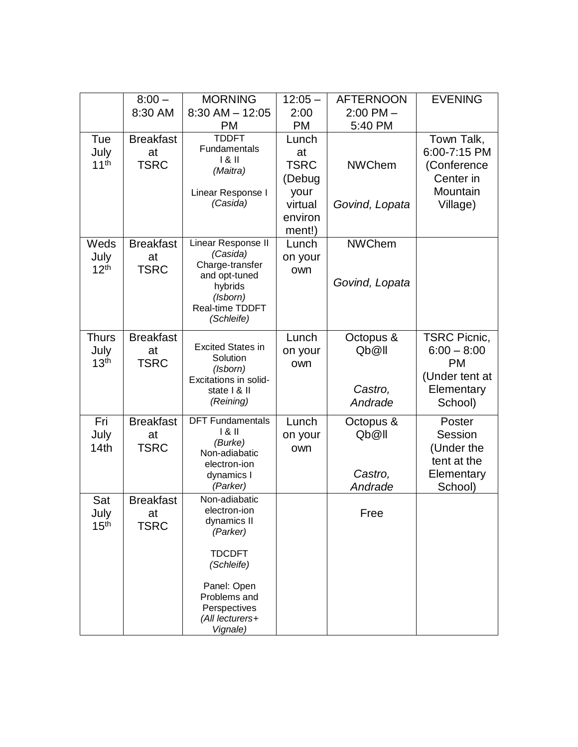|                                          | $8:00 -$<br>8:30 AM                   | <b>MORNING</b><br>$8:30$ AM $- 12:05$                                                                                                                                 | $12:05 -$<br>2:00                                                            | <b>AFTERNOON</b><br>$2:00$ PM $-$        | <b>EVENING</b>                                                                               |
|------------------------------------------|---------------------------------------|-----------------------------------------------------------------------------------------------------------------------------------------------------------------------|------------------------------------------------------------------------------|------------------------------------------|----------------------------------------------------------------------------------------------|
|                                          |                                       | <b>PM</b>                                                                                                                                                             | <b>PM</b>                                                                    | 5:40 PM                                  |                                                                                              |
| Tue<br>July<br>11 <sup>th</sup>          | <b>Breakfast</b><br>at<br><b>TSRC</b> | <b>TDDFT</b><br>Fundamentals<br>181<br>(Maitra)<br>Linear Response I<br>(Casida)                                                                                      | Lunch<br>at<br><b>TSRC</b><br>(Debug<br>your<br>virtual<br>environ<br>ment!) | <b>NWChem</b><br>Govind, Lopata          | Town Talk,<br>6:00-7:15 PM<br>(Conference<br>Center in<br>Mountain<br>Village)               |
| Weds<br>July<br>12 <sup>th</sup>         | <b>Breakfast</b><br>at<br><b>TSRC</b> | Linear Response II<br>(Casida)<br>Charge-transfer<br>and opt-tuned<br>hybrids<br>(Isborn)<br>Real-time TDDFT<br>(Schleife)                                            | Lunch<br>on your<br>own                                                      | <b>NWChem</b><br>Govind, Lopata          |                                                                                              |
| <b>Thurs</b><br>July<br>13 <sup>th</sup> | <b>Breakfast</b><br>at<br><b>TSRC</b> | <b>Excited States in</b><br>Solution<br>(Isborn)<br>Excitations in solid-<br>state   & II<br>(Reining)                                                                | Lunch<br>on your<br>own                                                      | Octopus &<br>Qb@ll<br>Castro,<br>Andrade | <b>TSRC Picnic,</b><br>$6:00 - 8:00$<br><b>PM</b><br>(Under tent at<br>Elementary<br>School) |
| Fri<br>July<br>14th                      | <b>Breakfast</b><br>at<br><b>TSRC</b> | <b>DFT Fundamentals</b><br>181<br>(Burke)<br>Non-adiabatic<br>electron-ion<br>dynamics I<br>(Parker)                                                                  | Lunch<br>on your<br>own                                                      | Octopus &<br>Qb@ll<br>Castro,<br>Andrade | Poster<br>Session<br>(Under the<br>tent at the<br>Elementary<br>School)                      |
| Sat<br>July<br>15 <sup>th</sup>          | <b>Breakfast</b><br>at<br>TSRC        | Non-adiabatic<br>electron-ion<br>dynamics II<br>(Parker)<br><b>TDCDFT</b><br>(Schleife)<br>Panel: Open<br>Problems and<br>Perspectives<br>(All lecturers+<br>Vignale) |                                                                              | Free                                     |                                                                                              |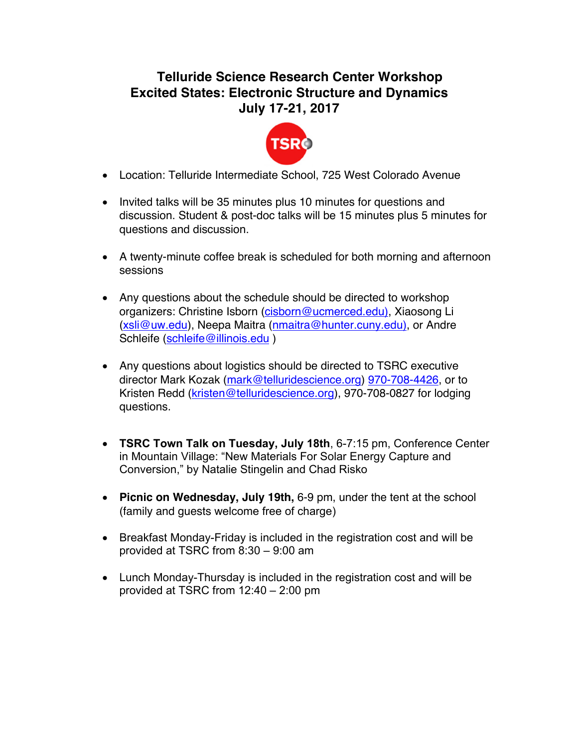# **Telluride Science Research Center Workshop Excited States: Electronic Structure and Dynamics July 17-21, 2017**



- Location: Telluride Intermediate School, 725 West Colorado Avenue
- Invited talks will be 35 minutes plus 10 minutes for questions and discussion. Student & post-doc talks will be 15 minutes plus 5 minutes for questions and discussion.
- A twenty-minute coffee break is scheduled for both morning and afternoon sessions
- Any questions about the schedule should be directed to workshop organizers: Christine Isborn (cisborn@ucmerced.edu), Xiaosong Li (xsli@uw.edu), Neepa Maitra (nmaitra@hunter.cuny.edu), or Andre Schleife (schleife@illinois.edu)
- Any questions about logistics should be directed to TSRC executive director Mark Kozak (mark@telluridescience.org) 970-708-4426, or to Kristen Redd (kristen@telluridescience.org), 970-708-0827 for lodging questions.
- **TSRC Town Talk on Tuesday, July 18th**, 6-7:15 pm, Conference Center in Mountain Village: "New Materials For Solar Energy Capture and Conversion," by Natalie Stingelin and Chad Risko
- **Picnic on Wednesday, July 19th,** 6-9 pm, under the tent at the school (family and guests welcome free of charge)
- Breakfast Monday-Friday is included in the registration cost and will be provided at TSRC from 8:30 – 9:00 am
- Lunch Monday-Thursday is included in the registration cost and will be provided at TSRC from 12:40 – 2:00 pm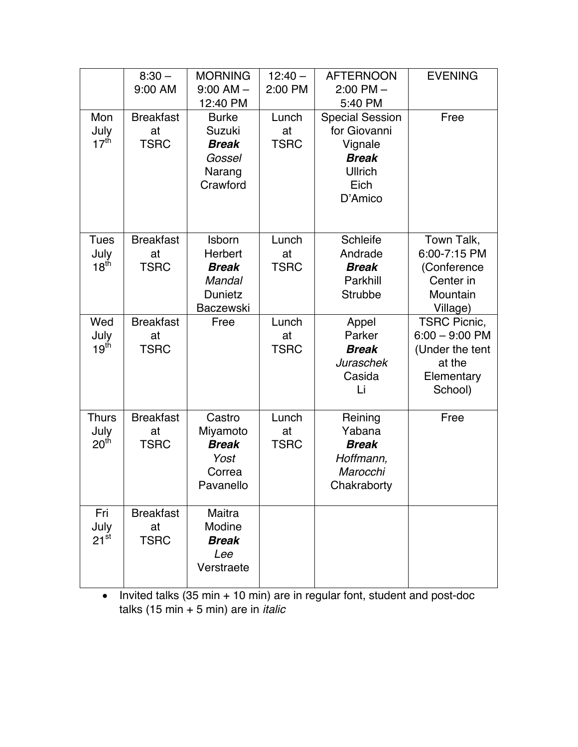|                                          | $8:30 -$<br>9:00 AM                   | <b>MORNING</b><br>$9:00$ AM $-$<br>12:40 PM                                       | $12:40 -$<br>2:00 PM       | <b>AFTERNOON</b><br>$2:00$ PM $-$<br>5:40 PM                                                    | <b>EVENING</b>                                                                                |
|------------------------------------------|---------------------------------------|-----------------------------------------------------------------------------------|----------------------------|-------------------------------------------------------------------------------------------------|-----------------------------------------------------------------------------------------------|
| Mon<br>July<br>17 <sup>th</sup>          | <b>Breakfast</b><br>at<br><b>TSRC</b> | <b>Burke</b><br>Suzuki<br><b>Break</b><br>Gossel<br>Narang<br>Crawford            | Lunch<br>at<br><b>TSRC</b> | <b>Special Session</b><br>for Giovanni<br>Vignale<br><b>Break</b><br>Ullrich<br>Eich<br>D'Amico | Free                                                                                          |
| Tues<br>July<br>18 <sup>th</sup>         | <b>Breakfast</b><br>at<br><b>TSRC</b> | Isborn<br>Herbert<br><b>Break</b><br><b>Mandal</b><br>Dunietz<br><b>Baczewski</b> | Lunch<br>at<br><b>TSRC</b> | Schleife<br>Andrade<br><b>Break</b><br>Parkhill<br>Strubbe                                      | Town Talk,<br>6:00-7:15 PM<br>(Conference<br>Center in<br>Mountain<br>Village)                |
| Wed<br>July<br>19 <sup>th</sup>          | <b>Breakfast</b><br>at<br><b>TSRC</b> | Free                                                                              | Lunch<br>at<br><b>TSRC</b> | Appel<br>Parker<br><b>Break</b><br>Juraschek<br>Casida<br>Li                                    | <b>TSRC Picnic,</b><br>$6:00 - 9:00$ PM<br>(Under the tent<br>at the<br>Elementary<br>School) |
| <b>Thurs</b><br>July<br>20 <sup>th</sup> | <b>Breakfast</b><br>at<br><b>TSRC</b> | Castro<br>Miyamoto<br><b>Break</b><br>Yost<br>Correa<br>Pavanello                 | Lunch<br>at<br><b>TSRC</b> | Reining<br>Yabana<br><b>Break</b><br>Hoffmann,<br>Marocchi<br>Chakraborty                       | Free                                                                                          |
| Fri<br>July<br>$21^{st}$                 | <b>Breakfast</b><br>at<br><b>TSRC</b> | Maitra<br>Modine<br><b>Break</b><br>Lee<br>Verstraete                             |                            |                                                                                                 |                                                                                               |

• Invited talks (35 min + 10 min) are in regular font, student and post-doc talks (15 min + 5 min) are in *italic*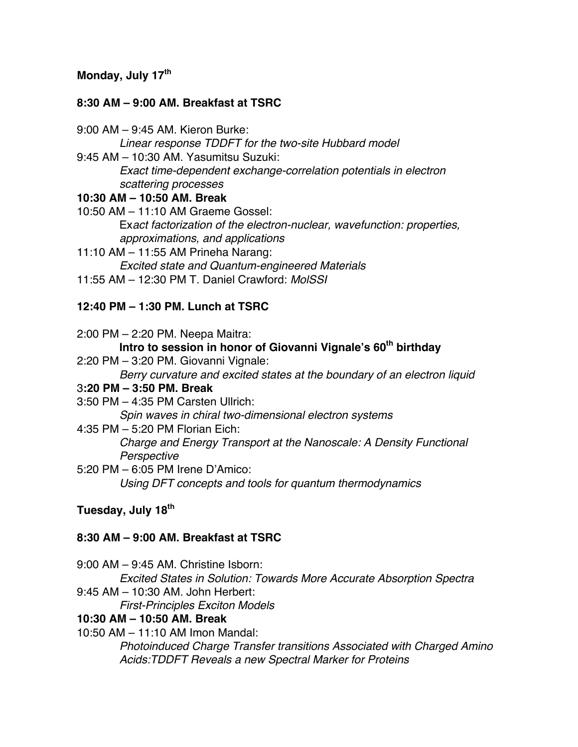### **Monday, July 17th**

### **8:30 AM – 9:00 AM. Breakfast at TSRC**

- 9:00 AM 9:45 AM. Kieron Burke: *Linear response TDDFT for the two-site Hubbard model*
- 9:45 AM 10:30 AM. Yasumitsu Suzuki: *Exact time-dependent exchange-correlation potentials in electron scattering processes*

#### **10:30 AM – 10:50 AM. Break**

- 10:50 AM 11:10 AM Graeme Gossel: Ex*act factorization of the electron-nuclear, wavefunction: properties, approximations, and applications*
- 11:10 AM 11:55 AM Prineha Narang: *Excited state and Quantum-engineered Materials*
- 11:55 AM 12:30 PM T. Daniel Crawford: *MolSSI*

### **12:40 PM – 1:30 PM. Lunch at TSRC**

2:00 PM – 2:20 PM. Neepa Maitra: **Intro to session in honor of Giovanni Vignale's 60<sup>th</sup> birthday** 2:20 PM – 3:20 PM. Giovanni Vignale: *Berry curvature and excited states at the boundary of an electron liquid* 3**:20 PM – 3:50 PM. Break** 3:50 PM – 4:35 PM Carsten Ullrich: *Spin waves in chiral two-dimensional electron systems*

- 4:35 PM 5:20 PM Florian Eich: *Charge and Energy Transport at the Nanoscale: A Density Functional Perspective*
- 5:20 PM 6:05 PM Irene D'Amico: *Using DFT concepts and tools for quantum thermodynamics*

### **Tuesday, July 18th**

### **8:30 AM – 9:00 AM. Breakfast at TSRC**

- 9:00 AM 9:45 AM. Christine Isborn:
- *Excited States in Solution: Towards More Accurate Absorption Spectra* 9:45 AM – 10:30 AM. John Herbert:

#### *First-Principles Exciton Models*

#### **10:30 AM – 10:50 AM. Break**

10:50 AM – 11:10 AM Imon Mandal:

*Photoinduced Charge Transfer transitions Associated with Charged Amino Acids:TDDFT Reveals a new Spectral Marker for Proteins*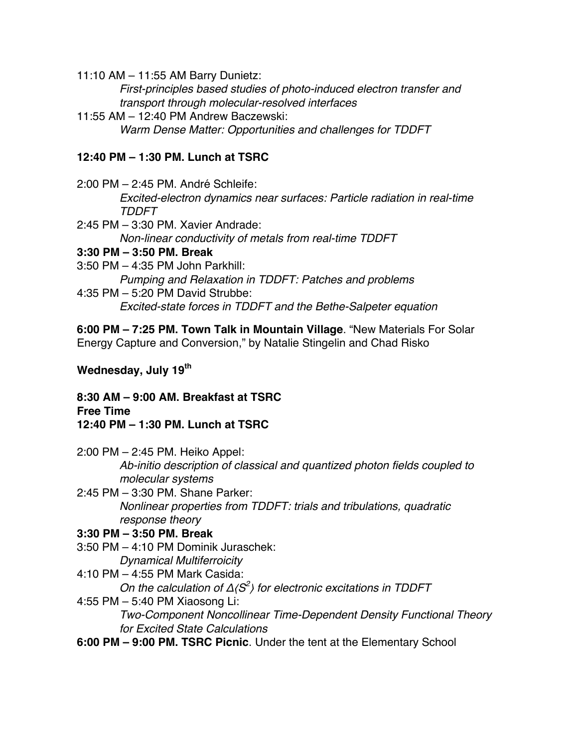11:10 AM – 11:55 AM Barry Dunietz:

*First-principles based studies of photo-induced electron transfer and transport through molecular-resolved interfaces*

11:55 AM – 12:40 PM Andrew Baczewski: *Warm Dense Matter: Opportunities and challenges for TDDFT*

## **12:40 PM – 1:30 PM. Lunch at TSRC**

- 2:00 PM 2:45 PM. André Schleife: *Excited-electron dynamics near surfaces: Particle radiation in real-time TDDFT*
- 2:45 PM 3:30 PM. Xavier Andrade: *Non-linear conductivity of metals from real-time TDDFT*

### **3:30 PM – 3:50 PM. Break**

3:50 PM – 4:35 PM John Parkhill:

*Pumping and Relaxation in TDDFT: Patches and problems*

4:35 PM – 5:20 PM David Strubbe: *Excited-state forces in TDDFT and the Bethe-Salpeter equation*

**6:00 PM – 7:25 PM. Town Talk in Mountain Village**. "New Materials For Solar Energy Capture and Conversion," by Natalie Stingelin and Chad Risko

# **Wednesday, July 19th**

**8:30 AM – 9:00 AM. Breakfast at TSRC Free Time 12:40 PM – 1:30 PM. Lunch at TSRC**

- 2:00 PM 2:45 PM. Heiko Appel: *Ab-initio description of classical and quantized photon fields coupled to molecular systems*
- 2:45 PM 3:30 PM. Shane Parker: *Nonlinear properties from TDDFT: trials and tribulations, quadratic response theory*

# **3:30 PM – 3:50 PM. Break**

- 3:50 PM 4:10 PM Dominik Juraschek: *Dynamical Multiferroicity*
- 4:10 PM 4:55 PM Mark Casida: *On the calculation of* Δ⟨*S2* ⟩ *for electronic excitations in TDDFT*
- 4:55 PM 5:40 PM Xiaosong Li:

*Two-Component Noncollinear Time-Dependent Density Functional Theory for Excited State Calculations*

**6:00 PM – 9:00 PM. TSRC Picnic**. Under the tent at the Elementary School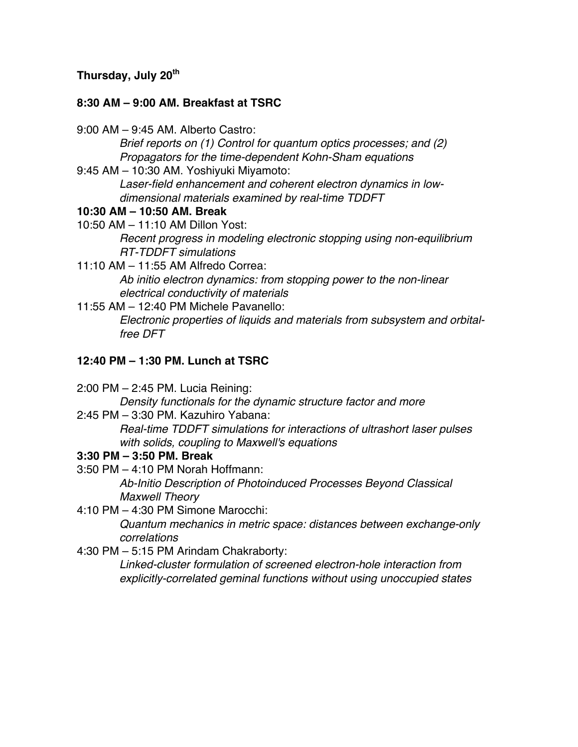## **Thursday, July 20th**

# **8:30 AM – 9:00 AM. Breakfast at TSRC**

- 9:00 AM 9:45 AM. Alberto Castro:
	- *Brief reports on (1) Control for quantum optics processes; and (2) Propagators for the time-dependent Kohn-Sham equations*
- 9:45 AM 10:30 AM. Yoshiyuki Miyamoto:

*Laser-field enhancement and coherent electron dynamics in lowdimensional materials examined by real-time TDDFT*

# **10:30 AM – 10:50 AM. Break**

- 10:50 AM 11:10 AM Dillon Yost: *Recent progress in modeling electronic stopping using non-equilibrium RT-TDDFT simulations*
- 11:10 AM 11:55 AM Alfredo Correa: *Ab initio electron dynamics: from stopping power to the non-linear electrical conductivity of materials*
- 11:55 AM 12:40 PM Michele Pavanello: *Electronic properties of liquids and materials from subsystem and orbitalfree DFT*

# **12:40 PM – 1:30 PM. Lunch at TSRC**

2:00 PM – 2:45 PM. Lucia Reining:

*Density functionals for the dynamic structure factor and more*

2:45 PM – 3:30 PM. Kazuhiro Yabana:

*Real-time TDDFT simulations for interactions of ultrashort laser pulses with solids, coupling to Maxwell's equations*

# **3:30 PM – 3:50 PM. Break**

3:50 PM – 4:10 PM Norah Hoffmann:

*Ab-Initio Description of Photoinduced Processes Beyond Classical Maxwell Theory*

4:10 PM – 4:30 PM Simone Marocchi:

*Quantum mechanics in metric space: distances between exchange-only correlations*

4:30 PM – 5:15 PM Arindam Chakraborty:

*Linked-cluster formulation of screened electron-hole interaction from explicitly-correlated geminal functions without using unoccupied states*